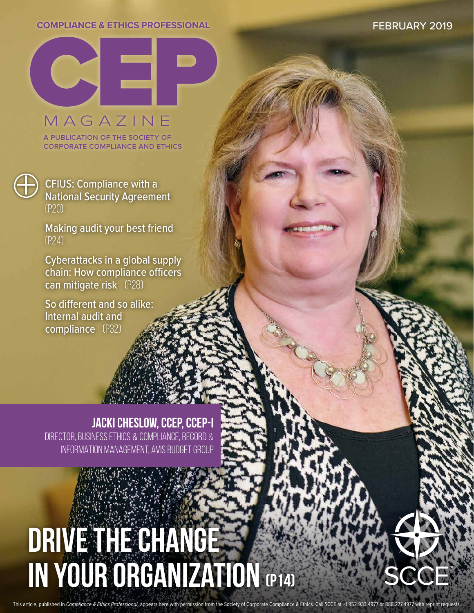#### **COMPLIANCE & ETHICS PROFESSIONAL**

FEBRUARY 2019



MAGAZINE

a publication of the society of corporate compliance and ethics



**+ CFIUS: Compliance with a**<br>National Security Agreement (p20)

> Making audit your best friend (p24)

Cyberattacks in a global supply chain: How compliance officers can mitigate risk (p28)

So different and so alike: Internal audit and compliance (P32)

**JACKI CHESLOW, CCEP, CCEP-I**

DIRECTOR, BUSINESS ETHICS & COMPLIANCE, RECORD & INFORMATION MANAGEMENT, AVIS BUDGET GROUP

# Drive the change IN YOUR ORGANIZATION (P14)

This article, published in *Compliance & Ethics Professional*, appears here with permission from the Society of Corporate Compliance & Ethics. Call SCCE at +1 952.933.4977 or 888.277.4977 with reprint requests.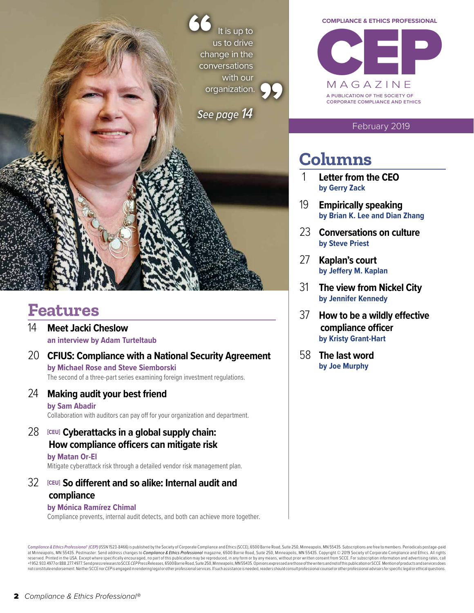It is up to us to drive change in the conversations with our organization. **99 66** 

*See page 14*



#### February 2019

## **Columns**

- 1 **Letter from the CEO by Gerry Zack**
- 19 **Empirically speaking by Brian K. Lee and Dian Zhang**
- 23 **Conversations on culture by Steve Priest**
- 27 **Kaplan's court by Jeffery M. Kaplan**
- 31 **The view from Nickel City by Jennifer Kennedy**
- 37 **How to be a wildly effective compliance officer by Kristy Grant-Hart**
- 58 **The last word by Joe Murphy**

## **Features**

- 14 **Meet Jacki Cheslow an interview by Adam Turteltaub**
- 20 **CFIUS: Compliance with a National Security Agreement by Michael Rose and Steve Siemborski**

The second of a three-part series examining foreign investment regulations.

- 24 **Making audit your best friend by Sam Abadir** Collaboration with auditors can pay off for your organization and department.
- 28 **[CEU] Cyberattacks in a global supply chain: How compliance officers can mitigate risk**

### **by Matan Or-El**

Mitigate cyberattack risk through a detailed vendor risk management plan.

## 32 **[CEU] So different and so alike: Internal audit and compliance**

#### **by Mónica Ramírez Chimal**

Compliance prevents, internal audit detects, and both can achieve more together.

Compliance & Ethics Professional" (CEP) (ISSN 1523-8466) is published by the Society of Corporate Compliance and Ethics (SCCE), 6500 Barrie Road, Suite 250, Minneapolis, MN 55435. Subscriptions are free to members. Periodi at Minneapolis, MN 55435. Postmaster: Send address changes to *Compliance & Ethics Professional* magazine, 6500 Barrie Road, Suite 250, Minneapolis, MN 55435. Copyright © 2019 Society of Corporate Compliance and Ethics. Al +1952.933.4977or888.277.4977.Sendpressreleases to SCCE CEP PressReleases, 6500 Barrie Road, Suite 250, Minneapolis, MN 55435. Opinions expressed are those of the writers and not of this publication or SCCE. Mention of prod  $not constitute endorsement. Neither SCCEn or CEP is engaged in rendering legal or other professionals services. If such assistance is needed, readers should consult professional cournsle or other professional always or to the professional advantages for specific legal or ethical questions.\\$